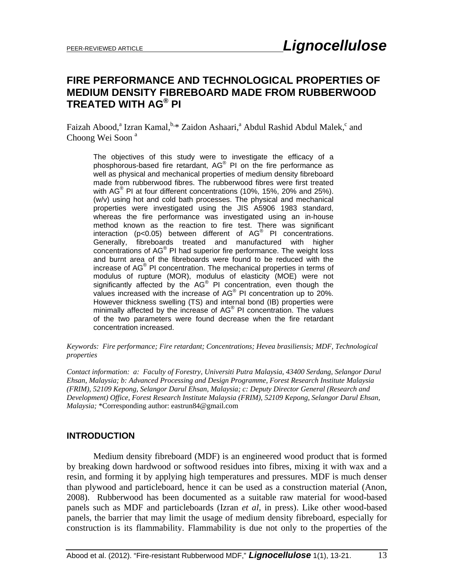# **FIRE PERFORMANCE AND TECHNOLOGICAL PROPERTIES OF MEDIUM DENSITY FIBREBOARD MADE FROM RUBBERWOOD TREATED WITH AG® PI**

Faizah Abood,<sup>a</sup> Izran Kamal, <sup>b,\*</sup> Zaidon Ashaari,<sup>a</sup> Abdul Rashid Abdul Malek,<sup>c</sup> and Choong Wei Soon<sup>a</sup>

The objectives of this study were to investigate the efficacy of a phosphorous-based fire retardant, AG® PI on the fire performance as well as physical and mechanical properties of medium density fibreboard made from rubberwood fibres. The rubberwood fibres were first treated with AG<sup>®</sup> PI at four different concentrations (10%, 15%, 20% and 25%). (w/v) using hot and cold bath processes. The physical and mechanical properties were investigated using the JIS A5906 1983 standard, whereas the fire performance was investigated using an in-house method known as the reaction to fire test. There was significant interaction (p<0.05) between different of AG® PI concentrations. Generally, fibreboards treated and manufactured with higher concentrations of AG® PI had superior fire performance. The weight loss and burnt area of the fibreboards were found to be reduced with the increase of AG<sup>®</sup> PI concentration. The mechanical properties in terms of modulus of rupture (MOR), modulus of elasticity (MOE) were not significantly affected by the AG® PI concentration, even though the values increased with the increase of  $AG^{\circledast}$  PI concentration up to 20%. However thickness swelling (TS) and internal bond (IB) properties were minimally affected by the increase of AG® PI concentration. The values of the two parameters were found decrease when the fire retardant concentration increased.

*Keywords: Fire performance; Fire retardant; Concentrations; Hevea brasiliensis; MDF, Technological properties* 

*Contact information: a: Faculty of Forestry, Universiti Putra Malaysia, 43400 Serdang, Selangor Darul Ehsan, Malaysia; b: Advanced Processing and Design Programme, Forest Research Institute Malaysia (FRIM), 52109 Kepong, Selangor Darul Ehsan, Malaysia; c: Deputy Director General (Research and Development) Office, Forest Research Institute Malaysia (FRIM), 52109 Kepong, Selangor Darul Ehsan, Malaysia;* \*Corresponding author: eastrun84@gmail.com

# **INTRODUCTION**

 Medium density fibreboard (MDF) is an engineered wood product that is formed by breaking down hardwood or softwood residues into fibres, mixing it with wax and a resin, and forming it by applying high temperatures and pressures. MDF is much denser than plywood and particleboard, hence it can be used as a construction material (Anon, 2008). Rubberwood has been documented as a suitable raw material for wood-based panels such as MDF and particleboards (Izran *et al,* in press). Like other wood-based panels, the barrier that may limit the usage of medium density fibreboard, especially for construction is its flammability. Flammability is due not only to the properties of the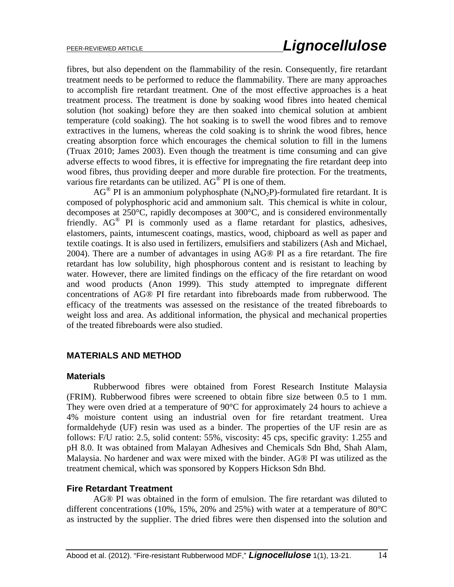fibres, but also dependent on the flammability of the resin. Consequently, fire retardant treatment needs to be performed to reduce the flammability. There are many approaches to accomplish fire retardant treatment. One of the most effective approaches is a heat treatment process. The treatment is done by soaking wood fibres into heated chemical solution (hot soaking) before they are then soaked into chemical solution at ambient temperature (cold soaking). The hot soaking is to swell the wood fibres and to remove extractives in the lumens, whereas the cold soaking is to shrink the wood fibres, hence creating absorption force which encourages the chemical solution to fill in the lumens (Truax 2010; James 2003). Even though the treatment is time consuming and can give adverse effects to wood fibres, it is effective for impregnating the fire retardant deep into wood fibres, thus providing deeper and more durable fire protection. For the treatments, various fire retardants can be utilized. AG® PI is one of them.

 $AG^{\circledR}$  PI is an ammonium polyphosphate (N<sub>4</sub>NO<sub>2</sub>P)-formulated fire retardant. It is composed of polyphosphoric acid and ammonium salt. This chemical is white in colour, decomposes at  $250^{\circ}$ C, rapidly decomposes at  $300^{\circ}$ C, and is considered environmentally friendly. AG® PI is commonly used as a flame retardant for plastics, adhesives, elastomers, paints, intumescent coatings, mastics, wood, chipboard as well as paper and textile coatings. It is also used in fertilizers, emulsifiers and stabilizers (Ash and Michael, 2004). There are a number of advantages in using AG® PI as a fire retardant. The fire retardant has low solubility, high phosphorous content and is resistant to leaching by water. However, there are limited findings on the efficacy of the fire retardant on wood and wood products (Anon 1999). This study attempted to impregnate different concentrations of AG® PI fire retardant into fibreboards made from rubberwood. The efficacy of the treatments was assessed on the resistance of the treated fibreboards to weight loss and area. As additional information, the physical and mechanical properties of the treated fibreboards were also studied.

# **MATERIALS AND METHOD**

### **Materials**

 Rubberwood fibres were obtained from Forest Research Institute Malaysia (FRIM). Rubberwood fibres were screened to obtain fibre size between 0.5 to 1 mm. They were oven dried at a temperature of  $90^{\circ}$ C for approximately 24 hours to achieve a 4% moisture content using an industrial oven for fire retardant treatment. Urea formaldehyde (UF) resin was used as a binder. The properties of the UF resin are as follows: F/U ratio: 2.5, solid content: 55%, viscosity: 45 cps, specific gravity: 1.255 and pH 8.0. It was obtained from Malayan Adhesives and Chemicals Sdn Bhd, Shah Alam, Malaysia. No hardener and wax were mixed with the binder. AG® PI was utilized as the treatment chemical, which was sponsored by Koppers Hickson Sdn Bhd.

## **Fire Retardant Treatment**

AG® PI was obtained in the form of emulsion. The fire retardant was diluted to different concentrations (10%, 15%, 20% and 25%) with water at a temperature of 80°C as instructed by the supplier. The dried fibres were then dispensed into the solution and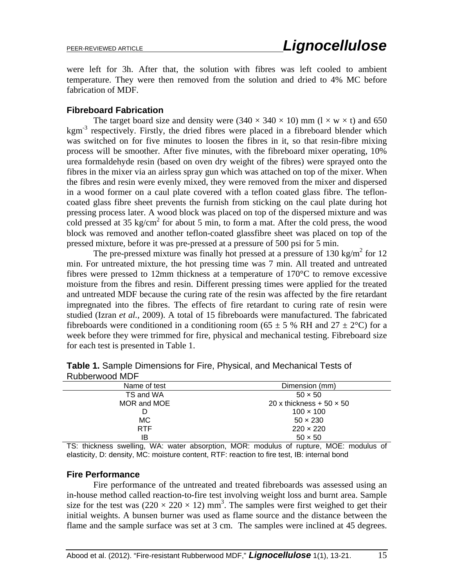were left for 3h. After that, the solution with fibres was left cooled to ambient temperature. They were then removed from the solution and dried to 4% MC before fabrication of MDF.

## **Fibreboard Fabrication**

The target board size and density were  $(340 \times 340 \times 10)$  mm  $(1 \times w \times t)$  and 650 kgm<sup>-3</sup> respectively. Firstly, the dried fibres were placed in a fibreboard blender which was switched on for five minutes to loosen the fibres in it, so that resin-fibre mixing process will be smoother. After five minutes, with the fibreboard mixer operating, 10% urea formaldehyde resin (based on oven dry weight of the fibres) were sprayed onto the fibres in the mixer via an airless spray gun which was attached on top of the mixer. When the fibres and resin were evenly mixed, they were removed from the mixer and dispersed in a wood former on a caul plate covered with a teflon coated glass fibre. The tefloncoated glass fibre sheet prevents the furnish from sticking on the caul plate during hot pressing process later. A wood block was placed on top of the dispersed mixture and was cold pressed at 35 kg/cm<sup>2</sup> for about 5 min, to form a mat. After the cold press, the wood block was removed and another teflon-coated glassfibre sheet was placed on top of the pressed mixture, before it was pre-pressed at a pressure of 500 psi for 5 min.

The pre-pressed mixture was finally hot pressed at a pressure of  $130 \text{ kg/m}^2$  for  $12$ min. For untreated mixture, the hot pressing time was 7 min. All treated and untreated fibres were pressed to 12mm thickness at a temperature of 170°C to remove excessive moisture from the fibres and resin. Different pressing times were applied for the treated and untreated MDF because the curing rate of the resin was affected by the fire retardant impregnated into the fibres. The effects of fire retardant to curing rate of resin were studied (Izran *et al.,* 2009). A total of 15 fibreboards were manufactured. The fabricated fibreboards were conditioned in a conditioning room (65  $\pm$  5 % RH and 27  $\pm$  2°C) for a week before they were trimmed for fire, physical and mechanical testing. Fibreboard size for each test is presented in Table 1.

| Name of test | Dimension (mm)                  |
|--------------|---------------------------------|
| TS and WA    | $50 \times 50$                  |
| MOR and MOE  | 20 x thickness + 50 $\times$ 50 |
|              | $100 \times 100$                |
| MC.          | $50 \times 230$                 |
| <b>RTF</b>   | $220 \times 220$                |
| ΙB           | $50 \times 50$                  |
|              |                                 |

**Table 1.** Sample Dimensions for Fire, Physical, and Mechanical Tests of Rubberwood MDF

TS: thickness swelling, WA: water absorption, MOR: modulus of rupture, MOE: modulus of elasticity, D: density, MC: moisture content, RTF: reaction to fire test, IB: internal bond

## **Fire Performance**

Fire performance of the untreated and treated fibreboards was assessed using an in-house method called reaction-to-fire test involving weight loss and burnt area. Sample size for the test was  $(220 \times 220 \times 12)$  mm<sup>3</sup>. The samples were first weighed to get their initial weights. A bunsen burner was used as flame source and the distance between the flame and the sample surface was set at 3 cm. The samples were inclined at 45 degrees.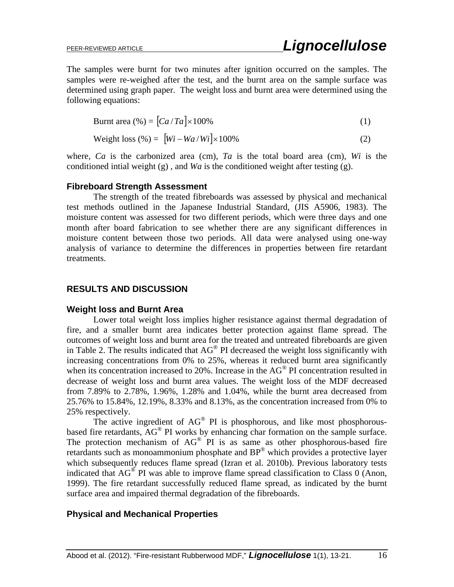The samples were burnt for two minutes after ignition occurred on the samples. The samples were re-weighed after the test, and the burnt area on the sample surface was determined using graph paper. The weight loss and burnt area were determined using the following equations:

$$
Burnt area (\%) = [Ca/Ta] \times 100\% \tag{1}
$$

 $Weight loss (%) = [Wi - Wa/Wi] \times 100\%$  (2)

where, *Ca* is the carbonized area (cm), *Ta* is the total board area (cm), *Wi* is the conditioned intial weight  $(g)$ , and *Wa* is the conditioned weight after testing  $(g)$ .

### **Fibreboard Strength Assessment**

The strength of the treated fibreboards was assessed by physical and mechanical test methods outlined in the Japanese Industrial Standard, (JIS A5906, 1983). The moisture content was assessed for two different periods, which were three days and one month after board fabrication to see whether there are any significant differences in moisture content between those two periods. All data were analysed using one-way analysis of variance to determine the differences in properties between fire retardant treatments.

## **RESULTS AND DISCUSSION**

### **Weight loss and Burnt Area**

Lower total weight loss implies higher resistance against thermal degradation of fire, and a smaller burnt area indicates better protection against flame spread. The outcomes of weight loss and burnt area for the treated and untreated fibreboards are given in Table 2. The results indicated that AG® PI decreased the weight loss significantly with increasing concentrations from 0% to 25%, whereas it reduced burnt area significantly when its concentration increased to 20%. Increase in the AG® PI concentration resulted in decrease of weight loss and burnt area values. The weight loss of the MDF decreased from 7.89% to 2.78%, 1.96%, 1.28% and 1.04%, while the burnt area decreased from 25.76% to 15.84%, 12.19%, 8.33% and 8.13%, as the concentration increased from 0% to 25% respectively.

The active ingredient of  $AG^{\circledast}$  PI is phosphorous, and like most phosphorousbased fire retardants,  $AG^{\circledR}$  PI works by enhancing char formation on the sample surface. The protection mechanism of  $AG^{\circledR}$  PI is as same as other phosphorous-based fire retardants such as monoammonium phosphate and BP® which provides a protective layer which subsequently reduces flame spread (Izran et al. 2010b). Previous laboratory tests indicated that  $AG^{\circledR}$  PI was able to improve flame spread classification to Class 0 (Anon, 1999). The fire retardant successfully reduced flame spread, as indicated by the burnt surface area and impaired thermal degradation of the fibreboards.

### **Physical and Mechanical Properties**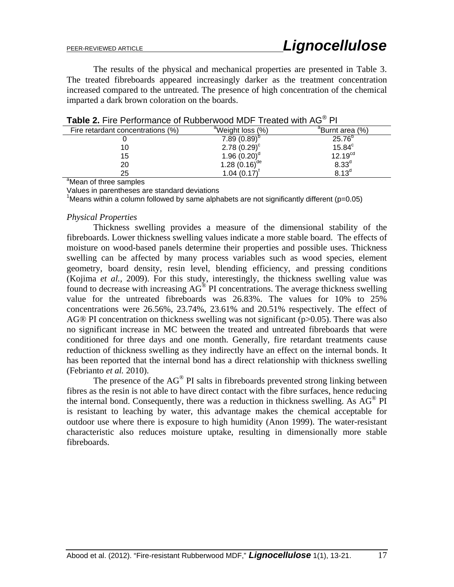The results of the physical and mechanical properties are presented in Table 3. The treated fibreboards appeared increasingly darker as the treatment concentration increased compared to the untreated. The presence of high concentration of the chemical imparted a dark brown coloration on the boards.

| Fire retardant concentrations (%) | <sup>a</sup> Weight loss (%) | <sup>a</sup> Burnt area (%) |
|-----------------------------------|------------------------------|-----------------------------|
|                                   | $7.89(0.89)^{b}$             | $25.76^{b}$                 |
| 10                                | $2.78(0.29)^c$               | $15.84^\circ$               |
| 15                                | 1.96 $(0.20)$ <sup>d</sup>   | $12.19^{cd}$                |
| 20                                | 1.28 $(0.16)^{de}$           | 8.33 <sup>d</sup>           |
| 25                                | 1.04(0.17)                   | 8.13 <sup>d</sup>           |
| $2 - 1$<br>- -                    |                              |                             |

**Table 2.** Fire Performance of Rubberwood MDF Treated with AG® PI

<sup>a</sup>Mean of three samples

Values in parentheses are standard deviations

<sup>1</sup>Means within a column followed by same alphabets are not significantly different (p=0.05)

### *Physical Properties*

Thickness swelling provides a measure of the dimensional stability of the fibreboards. Lower thickness swelling values indicate a more stable board. The effects of moisture on wood-based panels determine their properties and possible uses. Thickness swelling can be affected by many process variables such as wood species, element geometry, board density, resin level, blending efficiency, and pressing conditions (Kojima *et al.,* 2009). For this study, interestingly, the thickness swelling value was found to decrease with increasing AG® PI concentrations. The average thickness swelling value for the untreated fibreboards was 26.83%. The values for 10% to 25% concentrations were 26.56%, 23.74%, 23.61% and 20.51% respectively. The effect of AG® PI concentration on thickness swelling was not significant ( $p > 0.05$ ). There was also no significant increase in MC between the treated and untreated fibreboards that were conditioned for three days and one month. Generally, fire retardant treatments cause reduction of thickness swelling as they indirectly have an effect on the internal bonds. It has been reported that the internal bond has a direct relationship with thickness swelling (Febrianto *et al.* 2010).

The presence of the AG<sup>®</sup> PI salts in fibreboards prevented strong linking between fibres as the resin is not able to have direct contact with the fibre surfaces, hence reducing the internal bond. Consequently, there was a reduction in thickness swelling. As  $AG^{\circledast}$  PI is resistant to leaching by water, this advantage makes the chemical acceptable for outdoor use where there is exposure to high humidity (Anon 1999). The water-resistant characteristic also reduces moisture uptake, resulting in dimensionally more stable fibreboards.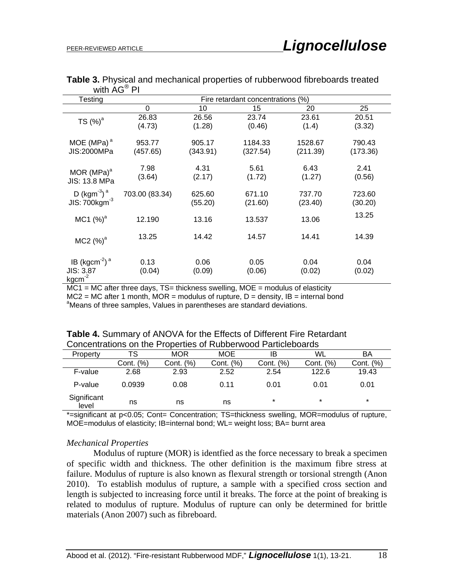| Testing                                                         | Fire retardant concentrations (%) |                    |                     |                     |                    |
|-----------------------------------------------------------------|-----------------------------------|--------------------|---------------------|---------------------|--------------------|
|                                                                 | 0                                 | 10                 | 15                  | 20                  | 25                 |
| TS $(%)^a$                                                      | 26.83<br>(4.73)                   | 26.56<br>(1.28)    | 23.74<br>(0.46)     | 23.61<br>(1.4)      | 20.51<br>(3.32)    |
| MOE (MPa) $^a$<br>JIS:2000MPa                                   | 953.77<br>(457.65)                | 905.17<br>(343.91) | 1184.33<br>(327.54) | 1528.67<br>(211.39) | 790.43<br>(173.36) |
| MOR $(MPa)^a$<br>JIS: 13.8 MPa                                  | 7.98<br>(3.64)                    | 4.31<br>(2.17)     | 5.61<br>(1.72)      | 6.43<br>(1.27)      | 2.41<br>(0.56)     |
| D $(kgm-3)a$<br>$JIS:700kgm-3$                                  | 703.00 (83.34)                    | 625.60<br>(55.20)  | 671.10<br>(21.60)   | 737.70<br>(23.40)   | 723.60<br>(30.20)  |
| $MC1$ (%) <sup>a</sup>                                          | 12.190                            | 13.16              | 13.537              | 13.06               | 13.25              |
| $MC2 (%)^a$                                                     | 13.25                             | 14.42              | 14.57               | 14.41               | 14.39              |
| IB ( $kgcm^{-2}$ ) <sup>a</sup><br><b>JIS: 3.87</b><br>$kgcm-2$ | 0.13<br>(0.04)                    | 0.06<br>(0.09)     | 0.05<br>(0.06)      | 0.04<br>(0.02)      | 0.04<br>(0.02)     |

**Table 3.** Physical and mechanical properties of rubberwood fibreboards treated with AG<sup>®</sup> PI

 $MC1 = MC$  after three days,  $TS =$  thickness swelling,  $MOE =$  modulus of elasticity  $MC2 = MC$  after 1 month, MOR = modulus of rupture, D = density, IB = internal bond <sup>a</sup>Means of three samples, Values in parentheses are standard deviations.

|                      |           |            | <u> OUNUUNUUUUU UN IND TIID ONUNUU UTIIMDDU MUUU I UNIUUDUUNUU</u> |           |           |           |
|----------------------|-----------|------------|--------------------------------------------------------------------|-----------|-----------|-----------|
| Property             | ГS        | <b>MOR</b> | MOE                                                                | IB        | WL        | ВA        |
|                      | Cont. (%) | Cont. (%)  | (%)<br>Cont.                                                       | Cont. (%) | Cont. (%) | Cont. (%) |
| F-value              | 2.68      | 2.93       | 2.52                                                               | 2.54      | 122.6     | 19.43     |
| P-value              | 0.0939    | 0.08       | 0.11                                                               | 0.01      | 0.01      | 0.01      |
| Significant<br>level | ns        | ns         | ns                                                                 | $\star$   | $\star$   | $\ast$    |

| Table 4. Summary of ANOVA for the Effects of Different Fire Retardant |
|-----------------------------------------------------------------------|
| Concentrations on the Properties of Rubberwood Particleboards         |

\*=significant at p<0.05; Cont= Concentration; TS=thickness swelling, MOR=modulus of rupture, MOE=modulus of elasticity; IB=internal bond; WL= weight loss; BA= burnt area

# *Mechanical Properties*

Modulus of rupture (MOR) is identfied as the force necessary to break a specimen of specific width and thickness. The other definition is the maximum fibre stress at failure. Modulus of rupture is also known as flexural strength or torsional strength (Anon 2010). To establish modulus of rupture, a sample with a specified cross section and length is subjected to increasing force until it breaks. The force at the point of breaking is related to modulus of rupture. Modulus of rupture can only be determined for brittle materials (Anon 2007) such as fibreboard.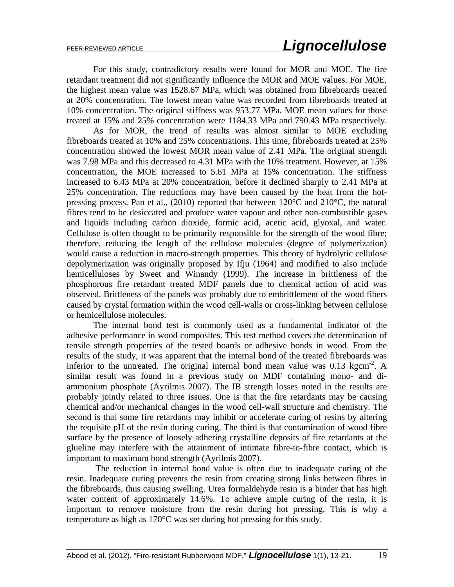For this study, contradictory results were found for MOR and MOE. The fire retardant treatment did not significantly influence the MOR and MOE values. For MOE, the highest mean value was 1528.67 MPa, which was obtained from fibreboards treated at 20% concentration. The lowest mean value was recorded from fibreboards treated at 10% concentration. The original stiffness was 953.77 MPa. MOE mean values for those treated at 15% and 25% concentration were 1184.33 MPa and 790.43 MPa respectively.

 As for MOR, the trend of results was almost similar to MOE excluding fibreboards treated at 10% and 25% concentrations. This time, fibreboards treated at 25% concentration showed the lowest MOR mean value of 2.41 MPa. The original strength was 7.98 MPa and this decreased to 4.31 MPa with the 10% treatment. However, at 15% concentration, the MOE increased to 5.61 MPa at 15% concentration. The stiffness increased to 6.43 MPa at 20% concentration, before it declined sharply to 2.41 MPa at 25% concentration. The reductions may have been caused by the heat from the hotpressing process. Pan et al., (2010) reported that between 120°C and 210°C, the natural fibres tend to be desiccated and produce water vapour and other non-combustible gases and liquids including carbon dioxide, formic acid, acetic acid, glyoxal, and water. Cellulose is often thought to be primarily responsible for the strength of the wood fibre; therefore, reducing the length of the cellulose molecules (degree of polymerization) would cause a reduction in macro-strength properties. This theory of hydrolytic cellulose depolymerization was originally proposed by Ifju (1964) and modified to also include hemicelluloses by Sweet and Winandy (1999). The increase in brittleness of the phosphorous fire retardant treated MDF panels due to chemical action of acid was observed. Brittleness of the panels was probably due to embrittlement of the wood fibers caused by crystal formation within the wood cell-walls or cross-linking between cellulose or hemicellulose molecules.

The internal bond test is commonly used as a fundamental indicator of the adhesive performance in wood composites. This test method covers the determination of tensile strength properties of the tested boards or adhesive bonds in wood. From the results of the study, it was apparent that the internal bond of the treated fibreboards was inferior to the untreated. The original internal bond mean value was  $0.13 \text{ kgcm}^{-2}$ . A similar result was found in a previous study on MDF containing mono- and diammonium phosphate (Ayrilmis 2007). The IB strength losses noted in the results are probably jointly related to three issues. One is that the fire retardants may be causing chemical and/or mechanical changes in the wood cell-wall structure and chemistry. The second is that some fire retardants may inhibit or accelerate curing of resins by altering the requisite pH of the resin during curing. The third is that contamination of wood fibre surface by the presence of loosely adhering crystalline deposits of fire retardants at the glueline may interfere with the attainment of intimate fibre-to-fibre contact, which is important to maximum bond strength (Ayrilmis 2007).

 The reduction in internal bond value is often due to inadequate curing of the resin. Inadequate curing prevents the resin from creating strong links between fibres in the fibreboards, thus causing swelling. Urea formaldehyde resin is a binder that has high water content of approximately 14.6%. To achieve ample curing of the resin, it is important to remove moisture from the resin during hot pressing. This is why a temperature as high as 170°C was set during hot pressing for this study.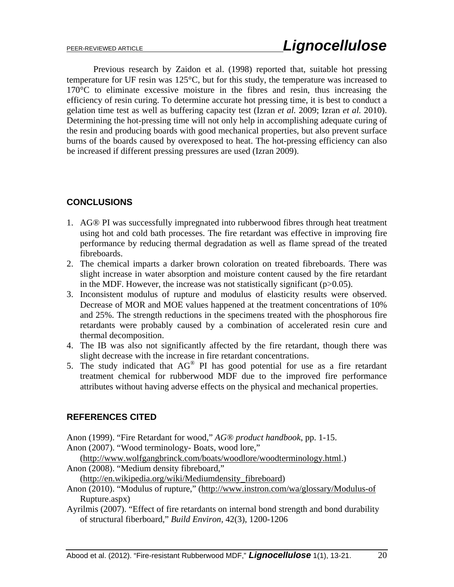Previous research by Zaidon et al. (1998) reported that, suitable hot pressing temperature for UF resin was 125°C, but for this study, the temperature was increased to 170°C to eliminate excessive moisture in the fibres and resin, thus increasing the efficiency of resin curing. To determine accurate hot pressing time, it is best to conduct a gelation time test as well as buffering capacity test (Izran *et al.* 2009; Izran *et al.* 2010). Determining the hot-pressing time will not only help in accomplishing adequate curing of the resin and producing boards with good mechanical properties, but also prevent surface burns of the boards caused by overexposed to heat. The hot-pressing efficiency can also be increased if different pressing pressures are used (Izran 2009).

# **CONCLUSIONS**

- 1. AG® PI was successfully impregnated into rubberwood fibres through heat treatment using hot and cold bath processes. The fire retardant was effective in improving fire performance by reducing thermal degradation as well as flame spread of the treated fibreboards.
- 2. The chemical imparts a darker brown coloration on treated fibreboards. There was slight increase in water absorption and moisture content caused by the fire retardant in the MDF. However, the increase was not statistically significant  $(p>0.05)$ .
- 3. Inconsistent modulus of rupture and modulus of elasticity results were observed. Decrease of MOR and MOE values happened at the treatment concentrations of 10% and 25%. The strength reductions in the specimens treated with the phosphorous fire retardants were probably caused by a combination of accelerated resin cure and thermal decomposition.
- 4. The IB was also not significantly affected by the fire retardant, though there was slight decrease with the increase in fire retardant concentrations.
- 5. The study indicated that  $AG^{\circ}$  PI has good potential for use as a fire retardant treatment chemical for rubberwood MDF due to the improved fire performance attributes without having adverse effects on the physical and mechanical properties.

# **REFERENCES CITED**

Anon (1999). "Fire Retardant for wood," *AG® product handbook*, pp. 1-15. Anon (2007). "Wood terminology- Boats, wood lore,"

(http://www.wolfgangbrinck.com/boats/woodlore/woodterminology.html.) Anon (2008). "Medium density fibreboard,"

(http://en.wikipedia.org/wiki/Mediumdensity\_fibreboard)

- Anon (2010). "Modulus of rupture," (http://www.instron.com/wa/glossary/Modulus-of Rupture.aspx)
- Ayrilmis (2007). "Effect of fire retardants on internal bond strength and bond durability of structural fiberboard," *Build Environ,* 42(3), 1200-1206